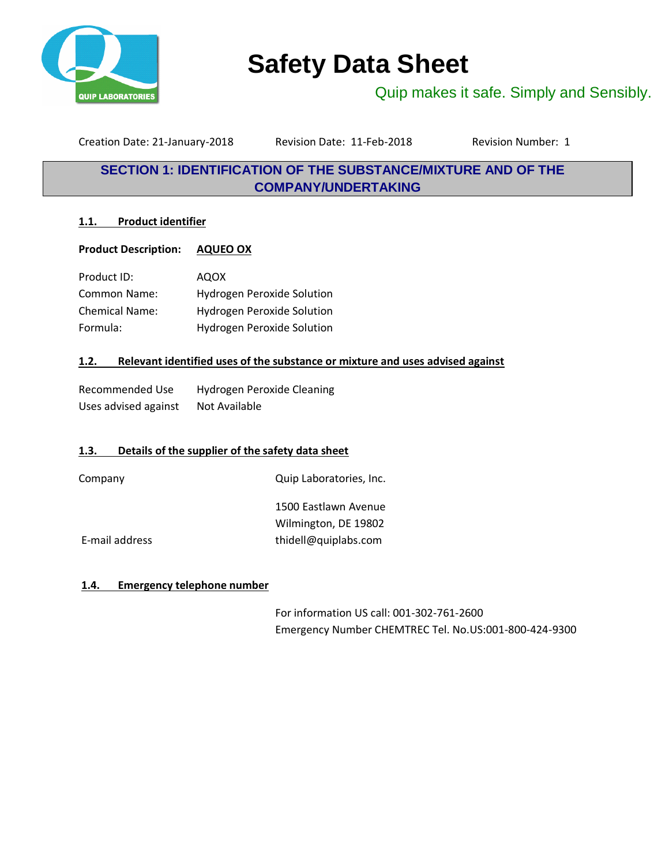

# **Safety Data Sheet**

Quip makes it safe. Simply and Sensibly.

Creation Date: 21-January-2018 Revision Date: 11-Feb-2018 Revision Number: 1

# **SECTION 1: IDENTIFICATION OF THE SUBSTANCE/MIXTURE AND OF THE COMPANY/UNDERTAKING**

# **1.1. Product identifier**

# **Product Description: AQUEO OX**

| Product ID:           | <b>AQOX</b>                       |
|-----------------------|-----------------------------------|
| Common Name:          | <b>Hydrogen Peroxide Solution</b> |
| <b>Chemical Name:</b> | <b>Hydrogen Peroxide Solution</b> |
| Formula:              | <b>Hydrogen Peroxide Solution</b> |

# **1.2. Relevant identified uses of the substance or mixture and uses advised against**

| Recommended Use      | Hydrogen Peroxide Cleaning |
|----------------------|----------------------------|
| Uses advised against | Not Available              |

# **1.3. Details of the supplier of the safety data sheet**

Company Company Company Company Company Company Company Company Company Company Company Company Company Company Company Company Company Company Company Company Company Company Company Company Company Company Company Compan

1500 Eastlawn Avenue Wilmington, DE 19802 E-mail address thidell@quiplabs.com

# **1.4. Emergency telephone number**

For information US call: 001-302-761-2600 Emergency Number CHEMTREC Tel. No.US:001-800-424-9300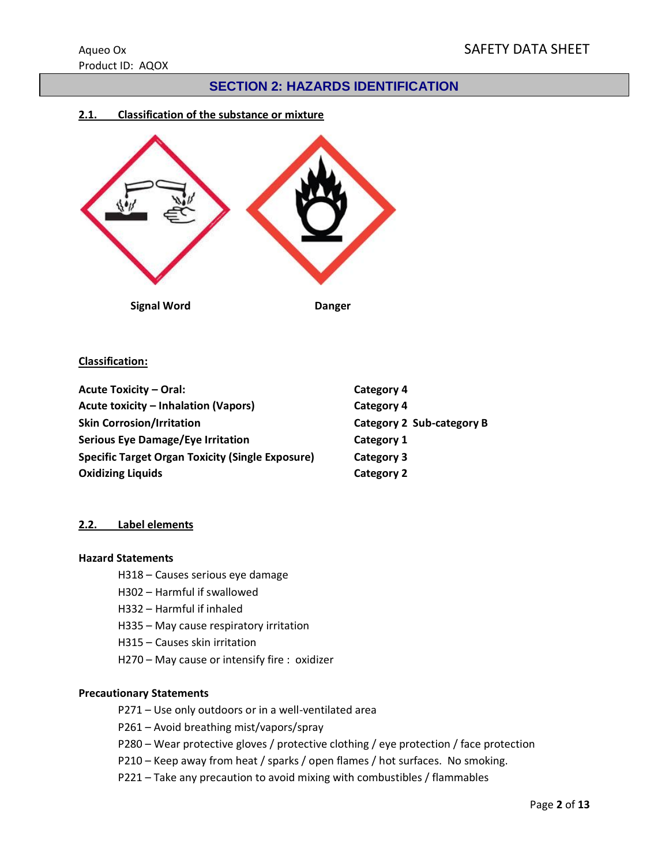# **SECTION 2: HAZARDS IDENTIFICATION**

# **2.1. Classification of the substance or mixture**



# **Classification:**

| <b>Acute Toxicity - Oral:</b>                           | Category 4                |
|---------------------------------------------------------|---------------------------|
| Acute toxicity – Inhalation (Vapors)                    | Category 4                |
| <b>Skin Corrosion/Irritation</b>                        | Category 2 Sub-category B |
| <b>Serious Eye Damage/Eye Irritation</b>                | Category 1                |
| <b>Specific Target Organ Toxicity (Single Exposure)</b> | Category 3                |
| <b>Oxidizing Liquids</b>                                | <b>Category 2</b>         |

# **2.2. Label elements**

#### **Hazard Statements**

- H318 Causes serious eye damage
- H302 Harmful if swallowed
- H332 Harmful if inhaled
- H335 May cause respiratory irritation
- H315 Causes skin irritation
- H270 May cause or intensify fire : oxidizer

#### **Precautionary Statements**

- P271 Use only outdoors or in a well-ventilated area
- P261 Avoid breathing mist/vapors/spray
- P280 Wear protective gloves / protective clothing / eye protection / face protection
- P210 Keep away from heat / sparks / open flames / hot surfaces. No smoking.
- P221 Take any precaution to avoid mixing with combustibles / flammables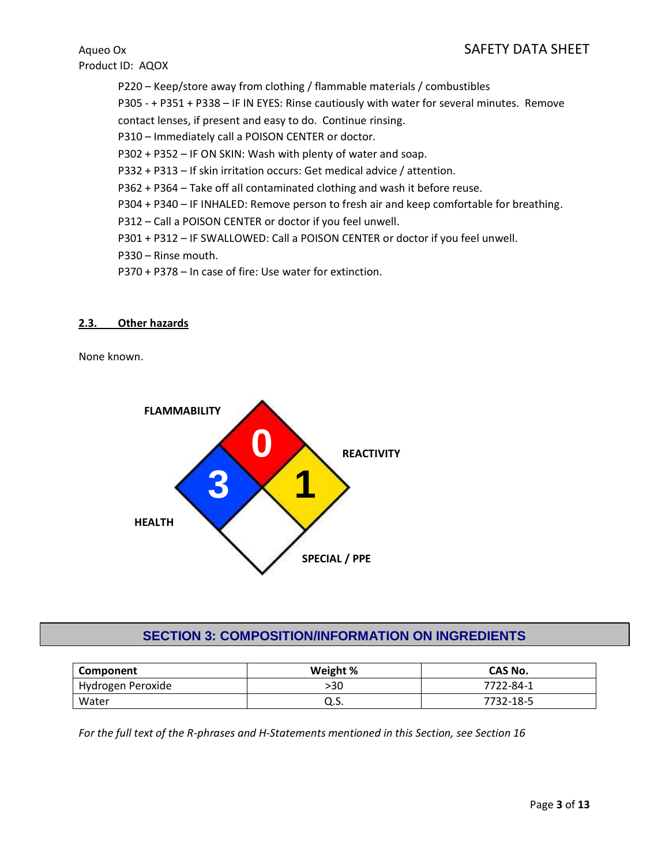P220 – Keep/store away from clothing / flammable materials / combustibles P305 - + P351 + P338 – IF IN EYES: Rinse cautiously with water for several minutes. Remove contact lenses, if present and easy to do. Continue rinsing. P310 – Immediately call a POISON CENTER or doctor. P302 + P352 – IF ON SKIN: Wash with plenty of water and soap. P332 + P313 – If skin irritation occurs: Get medical advice / attention. P362 + P364 – Take off all contaminated clothing and wash it before reuse. P304 + P340 – IF INHALED: Remove person to fresh air and keep comfortable for breathing. P312 – Call a POISON CENTER or doctor if you feel unwell. P301 + P312 – IF SWALLOWED: Call a POISON CENTER or doctor if you feel unwell. P330 – Rinse mouth. P370 + P378 – In case of fire: Use water for extinction.

# **2.3. Other hazards**

None known.



# **SECTION 3: COMPOSITION/INFORMATION ON INGREDIENTS**

| Component         | Weight % | CAS No.   |
|-------------------|----------|-----------|
| Hydrogen Peroxide | >30      | 7722-84-1 |
| Water             | u.s.     | 7732-18-5 |

*For the full text of the R-phrases and H-Statements mentioned in this Section, see Section 16*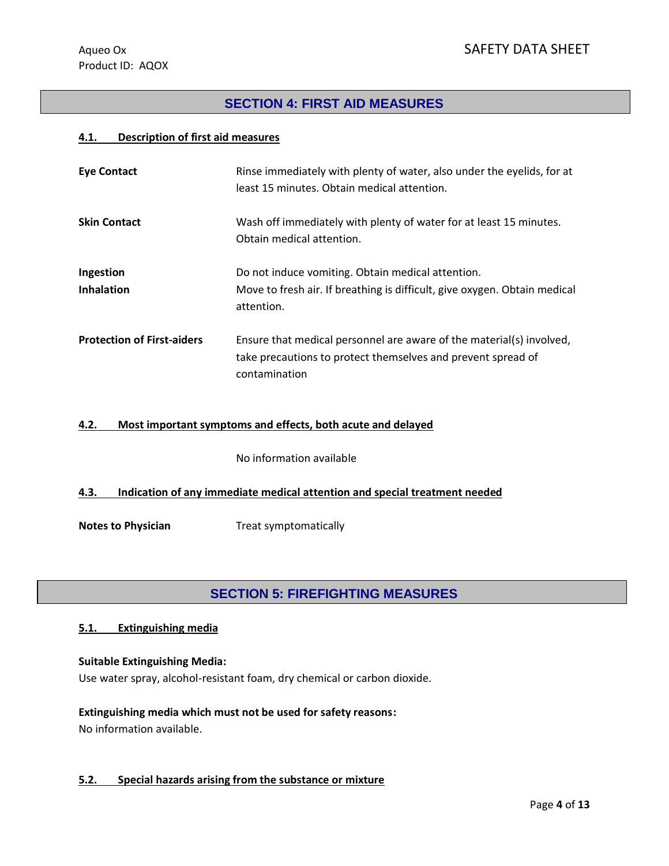# **SECTION 4: FIRST AID MEASURES**

#### **4.1. Description of first aid measures**

| <b>Eye Contact</b>                | Rinse immediately with plenty of water, also under the eyelids, for at<br>least 15 minutes. Obtain medical attention.                                 |
|-----------------------------------|-------------------------------------------------------------------------------------------------------------------------------------------------------|
| <b>Skin Contact</b>               | Wash off immediately with plenty of water for at least 15 minutes.<br>Obtain medical attention.                                                       |
| Ingestion<br><b>Inhalation</b>    | Do not induce vomiting. Obtain medical attention.<br>Move to fresh air. If breathing is difficult, give oxygen. Obtain medical<br>attention.          |
| <b>Protection of First-aiders</b> | Ensure that medical personnel are aware of the material(s) involved,<br>take precautions to protect themselves and prevent spread of<br>contamination |

#### **4.2. Most important symptoms and effects, both acute and delayed**

No information available

# **4.3. Indication of any immediate medical attention and special treatment needed**

**Notes to Physician** Treat symptomatically

# **SECTION 5: FIREFIGHTING MEASURES**

# **5.1. Extinguishing media**

#### **Suitable Extinguishing Media:**

Use water spray, alcohol-resistant foam, dry chemical or carbon dioxide.

# **Extinguishing media which must not be used for safety reasons:** No information available.

#### **5.2. Special hazards arising from the substance or mixture**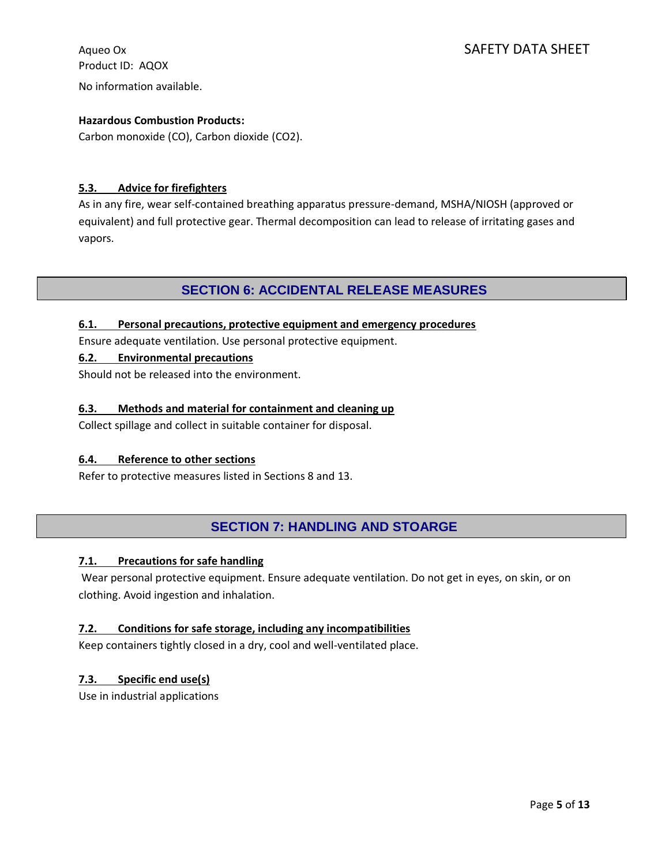Product ID: AQOX No information available.

# Aqueo Ox SAFETY DATA SHEET

# **Hazardous Combustion Products:**

Carbon monoxide (CO), Carbon dioxide (CO2).

# **5.3. Advice for firefighters**

As in any fire, wear self-contained breathing apparatus pressure-demand, MSHA/NIOSH (approved or equivalent) and full protective gear. Thermal decomposition can lead to release of irritating gases and vapors.

# **SECTION 6: ACCIDENTAL RELEASE MEASURES**

# **6.1. Personal precautions, protective equipment and emergency procedures**

Ensure adequate ventilation. Use personal protective equipment.

# **6.2. Environmental precautions**

Should not be released into the environment.

# **6.3. Methods and material for containment and cleaning up**

Collect spillage and collect in suitable container for disposal.

# **6.4. Reference to other sections**

Refer to protective measures listed in Sections 8 and 13.

# **SECTION 7: HANDLING AND STOARGE**

# **7.1. Precautions for safe handling**

Wear personal protective equipment. Ensure adequate ventilation. Do not get in eyes, on skin, or on clothing. Avoid ingestion and inhalation.

# **7.2. Conditions for safe storage, including any incompatibilities**

Keep containers tightly closed in a dry, cool and well-ventilated place.

# **7.3. Specific end use(s)**

Use in industrial applications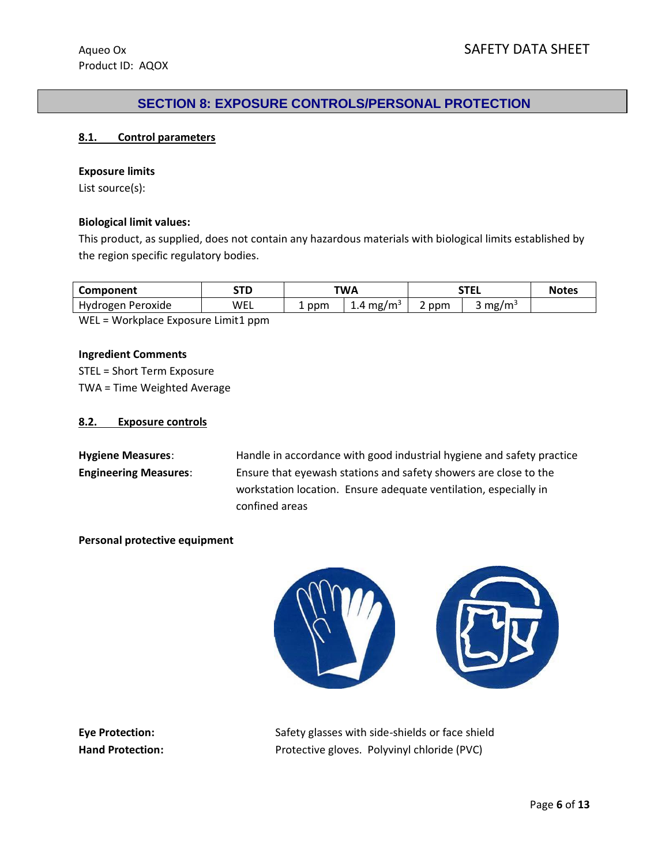# **SECTION 8: EXPOSURE CONTROLS/PERSONAL PROTECTION**

#### **8.1. Control parameters**

#### **Exposure limits**

List source(s):

#### **Biological limit values:**

This product, as supplied, does not contain any hazardous materials with biological limits established by the region specific regulatory bodies.

| Component         | STD | TWA       |                         | <b>STEL</b> |                   | <b>Notes</b> |
|-------------------|-----|-----------|-------------------------|-------------|-------------------|--------------|
| Hydrogen Peroxide | WEL | ppm<br>a. | $1.4 \,\mathrm{mg/m^3}$ | ppm         | mg/m <sup>3</sup> |              |
| .<br>.            | .   |           |                         |             |                   |              |

WEL = Workplace Exposure Limit1 ppm

#### **Ingredient Comments**

STEL = Short Term Exposure TWA = Time Weighted Average

#### **8.2. Exposure controls**

Hygiene Measures: Handle in accordance with good industrial hygiene and safety practice **Engineering Measures**: Ensure that eyewash stations and safety showers are close to the workstation location. Ensure adequate ventilation, especially in confined areas

**Personal protective equipment**



**Eye Protection:** Safety glasses with side-shields or face shield Hand Protection: Protective gloves. Polyvinyl chloride (PVC)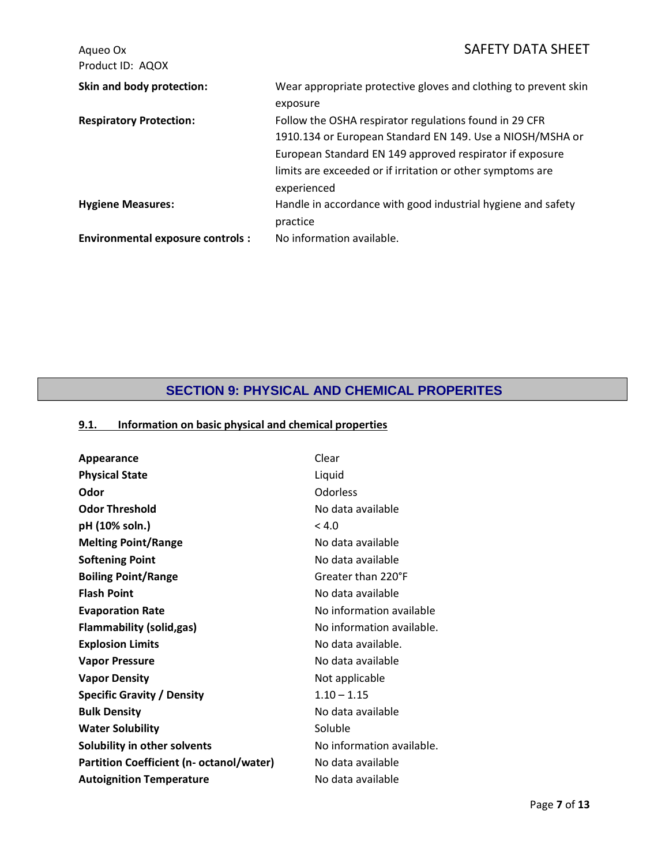| Aqueo Ox<br>Product ID: AQOX            | <b>SAFETY DATA SHEET</b>                                                                                                                                                                                                                                     |
|-----------------------------------------|--------------------------------------------------------------------------------------------------------------------------------------------------------------------------------------------------------------------------------------------------------------|
| Skin and body protection:               | Wear appropriate protective gloves and clothing to prevent skin<br>exposure                                                                                                                                                                                  |
| <b>Respiratory Protection:</b>          | Follow the OSHA respirator regulations found in 29 CFR<br>1910.134 or European Standard EN 149. Use a NIOSH/MSHA or<br>European Standard EN 149 approved respirator if exposure<br>limits are exceeded or if irritation or other symptoms are<br>experienced |
| <b>Hygiene Measures:</b>                | Handle in accordance with good industrial hygiene and safety<br>practice                                                                                                                                                                                     |
| <b>Environmental exposure controls:</b> | No information available.                                                                                                                                                                                                                                    |

# **SECTION 9: PHYSICAL AND CHEMICAL PROPERITES**

# **9.1. Information on basic physical and chemical properties**

| Appearance                                      | Clear                     |
|-------------------------------------------------|---------------------------|
| <b>Physical State</b>                           | Liquid                    |
| Odor                                            | Odorless                  |
| <b>Odor Threshold</b>                           | No data available         |
| pH (10% soln.)                                  | < 4.0                     |
| <b>Melting Point/Range</b>                      | No data available         |
| <b>Softening Point</b>                          | No data available         |
| <b>Boiling Point/Range</b>                      | Greater than 220°F        |
| <b>Flash Point</b>                              | No data available         |
| <b>Evaporation Rate</b>                         | No information available  |
| <b>Flammability (solid,gas)</b>                 | No information available. |
| <b>Explosion Limits</b>                         | No data available.        |
| <b>Vapor Pressure</b>                           | No data available         |
| <b>Vapor Density</b>                            | Not applicable            |
| <b>Specific Gravity / Density</b>               | $1.10 - 1.15$             |
| <b>Bulk Density</b>                             | No data available         |
| <b>Water Solubility</b>                         | Soluble                   |
| Solubility in other solvents                    | No information available. |
| <b>Partition Coefficient (n- octanol/water)</b> | No data available         |
| <b>Autoignition Temperature</b>                 | No data available         |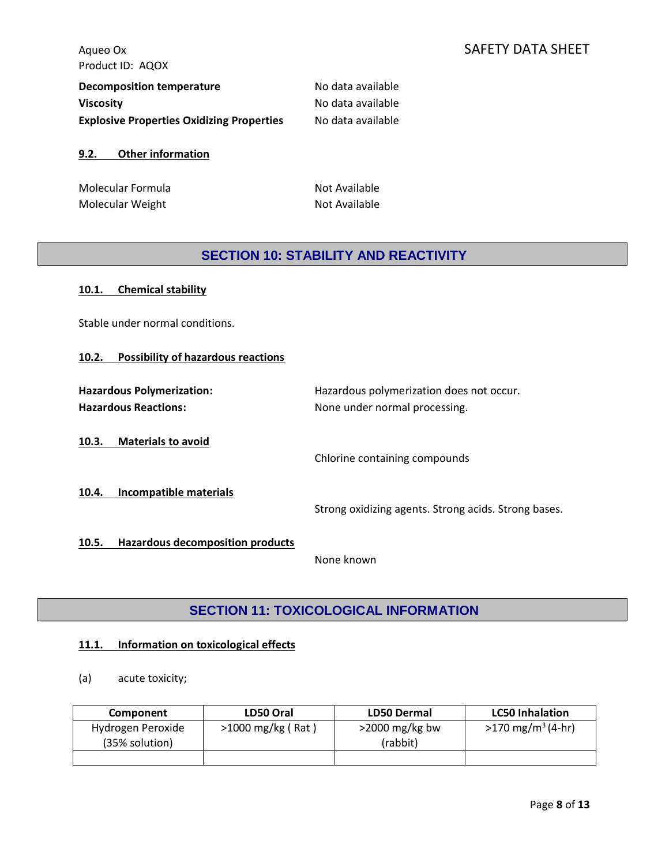| Decomposition temperature                        | No data available |
|--------------------------------------------------|-------------------|
| <b>Viscosity</b>                                 | No data available |
| <b>Explosive Properties Oxidizing Properties</b> | No data available |

#### **9.2. Other information**

Molecular Formula Not Available Molecular Weight Not Available

# **SECTION 10: STABILITY AND REACTIVITY**

| <b>Chemical stability</b><br>10.1.                              |                                                                           |
|-----------------------------------------------------------------|---------------------------------------------------------------------------|
| Stable under normal conditions.                                 |                                                                           |
| <b>Possibility of hazardous reactions</b><br>10.2.              |                                                                           |
| <b>Hazardous Polymerization:</b><br><b>Hazardous Reactions:</b> | Hazardous polymerization does not occur.<br>None under normal processing. |
| <b>Materials to avoid</b><br>10.3.                              | Chlorine containing compounds                                             |
| Incompatible materials<br>10.4.                                 | Strong oxidizing agents. Strong acids. Strong bases.                      |
| <b>Hazardous decomposition products</b><br>10.5.                | None known                                                                |

# **SECTION 11: TOXICOLOGICAL INFORMATION**

# **11.1. Information on toxicological effects**

# (a) acute toxicity;

| Component                           | LD50 Oral           | <b>LD50 Dermal</b>            | <b>LC50 Inhalation</b>               |
|-------------------------------------|---------------------|-------------------------------|--------------------------------------|
| Hydrogen Peroxide<br>(35% solution) | $>1000$ mg/kg (Rat) | $>$ 2000 mg/kg bw<br>(rabbit) | $>170 \text{ mg/m}^3 (4 \text{-}hr)$ |
|                                     |                     |                               |                                      |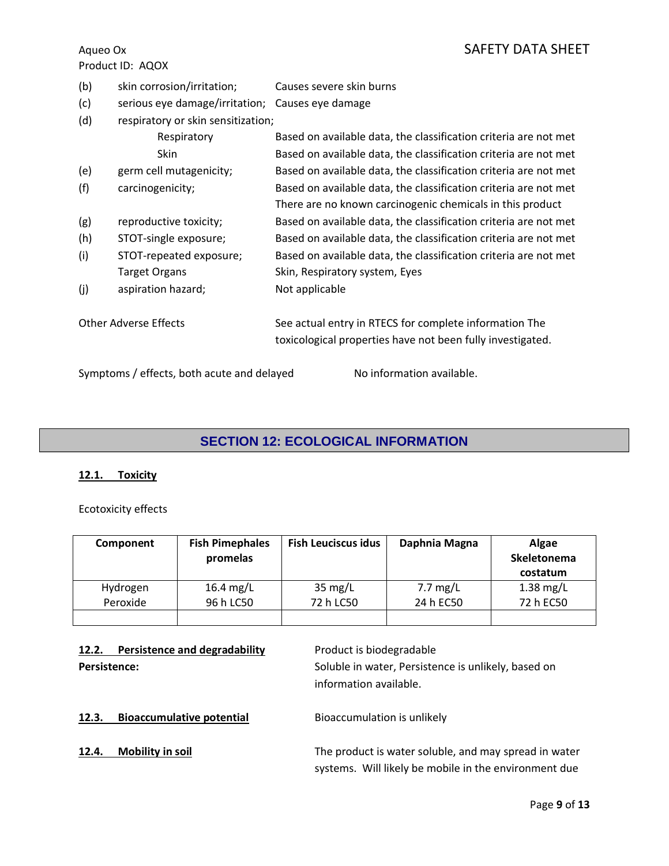- (b) skin corrosion/irritation; Causes severe skin burns
- (c) serious eye damage/irritation; Causes eye damage
- (d) respiratory or skin sensitization;

|     | Respiratory                                | Based on available data, the classification criteria are not met                                                     |
|-----|--------------------------------------------|----------------------------------------------------------------------------------------------------------------------|
|     | <b>Skin</b>                                | Based on available data, the classification criteria are not met                                                     |
| (e) | germ cell mutagenicity;                    | Based on available data, the classification criteria are not met                                                     |
| (f) | carcinogenicity;                           | Based on available data, the classification criteria are not met                                                     |
|     |                                            | There are no known carcinogenic chemicals in this product                                                            |
| (g) | reproductive toxicity;                     | Based on available data, the classification criteria are not met                                                     |
| (h) | STOT-single exposure;                      | Based on available data, the classification criteria are not met                                                     |
| (i) | STOT-repeated exposure;                    | Based on available data, the classification criteria are not met                                                     |
|     | <b>Target Organs</b>                       | Skin, Respiratory system, Eyes                                                                                       |
| (j) | aspiration hazard;                         | Not applicable                                                                                                       |
|     | <b>Other Adverse Effects</b>               | See actual entry in RTECS for complete information The<br>toxicological properties have not been fully investigated. |
|     | Symptoms / effects, both acute and delayed | No information available.                                                                                            |

# **SECTION 12: ECOLOGICAL INFORMATION**

# **12.1. Toxicity**

Ecotoxicity effects

| Component | <b>Fish Pimephales</b><br>promelas | <b>Fish Leuciscus idus</b> | Daphnia Magna | Algae<br>Skeletonema<br>costatum |
|-----------|------------------------------------|----------------------------|---------------|----------------------------------|
| Hydrogen  | 16.4 mg/L                          | $35 \text{ mg/L}$          | $7.7$ mg/L    | $1.38$ mg/L                      |
| Peroxide  | 96 h LC50                          | 72 h LC50                  | 24 h EC50     | 72 h EC50                        |
|           |                                    |                            |               |                                  |

**12.2.** Persistence and degradability **Product is biodegradable** 

Persistence: **Persistence:** Soluble in water, Persistence is unlikely, based on information available.

**12.3. Bioaccumulative potential** Bioaccumulation is unlikely

**12.4. Mobility in soil** The product is water soluble, and may spread in water systems. Will likely be mobile in the environment due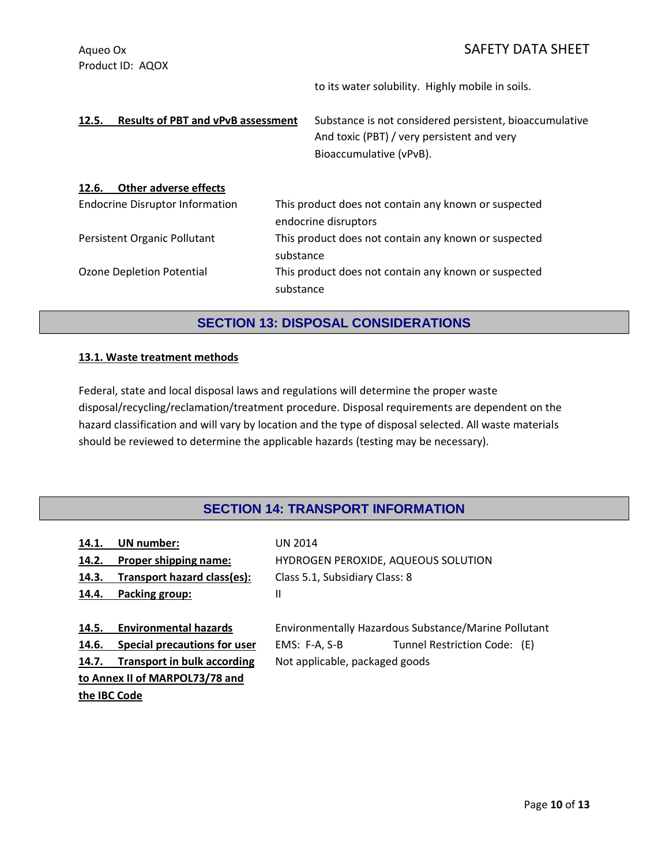# Aqueo Ox SAFETY DATA SHEET

Product ID: AQOX

to its water solubility. Highly mobile in soils.

12.5. **Results of PBT and vPvB assessment** Substance is not considered persistent, bioaccumulative And toxic (PBT) / very persistent and very Bioaccumulative (vPvB). **12.6. Other adverse effects** Endocrine Disruptor Information This product does not contain any known or suspected endocrine disruptors Persistent Organic Pollutant This product does not contain any known or suspected substance Ozone Depletion Potential This product does not contain any known or suspected substance

# **SECTION 13: DISPOSAL CONSIDERATIONS**

#### **13.1. Waste treatment methods**

Federal, state and local disposal laws and regulations will determine the proper waste disposal/recycling/reclamation/treatment procedure. Disposal requirements are dependent on the hazard classification and will vary by location and the type of disposal selected. All waste materials should be reviewed to determine the applicable hazards (testing may be necessary).

# **SECTION 14: TRANSPORT INFORMATION**

| 14.1. | <b>UN</b> number:                   | <b>UN 2014</b>                                       |                                     |
|-------|-------------------------------------|------------------------------------------------------|-------------------------------------|
| 14.2. | Proper shipping name:               |                                                      | HYDROGEN PEROXIDE, AQUEOUS SOLUTION |
| 14.3. | Transport hazard class(es):         | Class 5.1, Subsidiary Class: 8                       |                                     |
| 14.4. | Packing group:                      | Ш                                                    |                                     |
|       |                                     |                                                      |                                     |
| 14.5. | <b>Environmental hazards</b>        | Environmentally Hazardous Substance/Marine Pollutant |                                     |
| 14.6. | <b>Special precautions for user</b> | EMS: F-A, S-B                                        | Tunnel Restriction Code: (E)        |
| 14.7. | <b>Transport in bulk according</b>  | Not applicable, packaged goods                       |                                     |
|       | to Annex II of MARPOL73/78 and      |                                                      |                                     |
|       | the IBC Code                        |                                                      |                                     |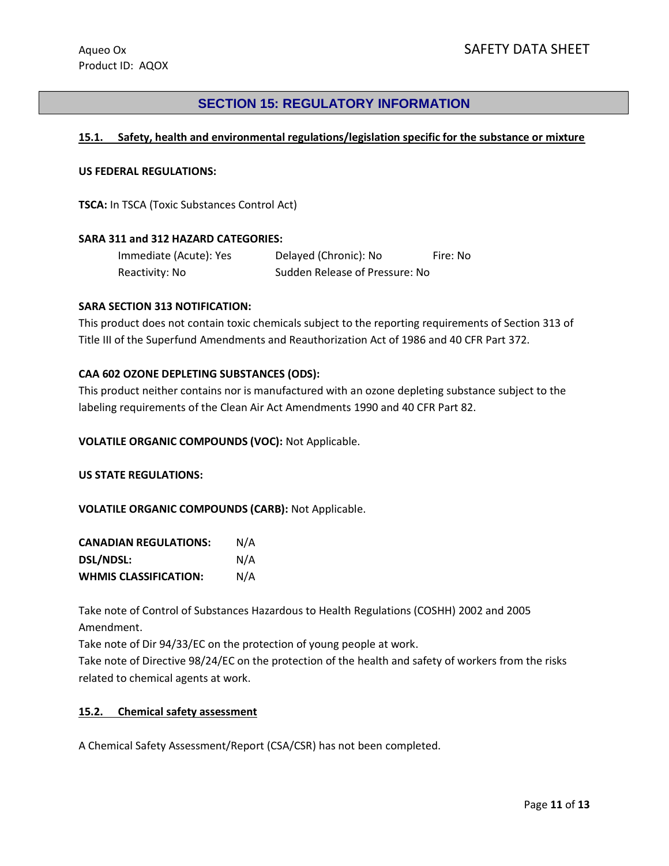# **SECTION 15: REGULATORY INFORMATION**

### **15.1. Safety, health and environmental regulations/legislation specific for the substance or mixture**

#### **US FEDERAL REGULATIONS:**

**TSCA:** In TSCA (Toxic Substances Control Act)

#### **SARA 311 and 312 HAZARD CATEGORIES:**

| Immediate (Acute): Yes | Delayed (Chronic): No          | Fire: No |
|------------------------|--------------------------------|----------|
| Reactivity: No         | Sudden Release of Pressure: No |          |

#### **SARA SECTION 313 NOTIFICATION:**

This product does not contain toxic chemicals subject to the reporting requirements of Section 313 of Title III of the Superfund Amendments and Reauthorization Act of 1986 and 40 CFR Part 372.

#### **CAA 602 OZONE DEPLETING SUBSTANCES (ODS):**

This product neither contains nor is manufactured with an ozone depleting substance subject to the labeling requirements of the Clean Air Act Amendments 1990 and 40 CFR Part 82.

**VOLATILE ORGANIC COMPOUNDS (VOC):** Not Applicable.

**US STATE REGULATIONS:**

**VOLATILE ORGANIC COMPOUNDS (CARB):** Not Applicable.

| <b>CANADIAN REGULATIONS:</b> | N/A |
|------------------------------|-----|
| DSL/NDSL:                    | N/A |
| <b>WHMIS CLASSIFICATION:</b> | N/A |

Take note of Control of Substances Hazardous to Health Regulations (COSHH) 2002 and 2005 Amendment.

Take note of Dir 94/33/EC on the protection of young people at work.

Take note of Directive 98/24/EC on the protection of the health and safety of workers from the risks related to chemical agents at work.

#### **15.2. Chemical safety assessment**

A Chemical Safety Assessment/Report (CSA/CSR) has not been completed.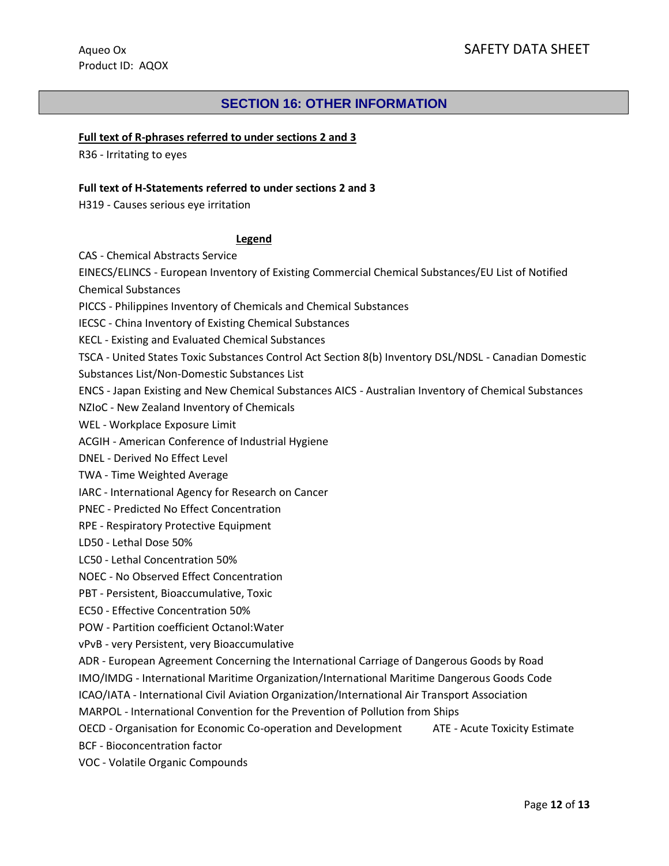# **SECTION 16: OTHER INFORMATION**

#### **Full text of R-phrases referred to under sections 2 and 3**

R36 - Irritating to eyes

#### **Full text of H-Statements referred to under sections 2 and 3**

H319 - Causes serious eye irritation

#### **Legend**

CAS - Chemical Abstracts Service

EINECS/ELINCS - European Inventory of Existing Commercial Chemical Substances/EU List of Notified

Chemical Substances

PICCS - Philippines Inventory of Chemicals and Chemical Substances

IECSC - China Inventory of Existing Chemical Substances

KECL - Existing and Evaluated Chemical Substances

TSCA - United States Toxic Substances Control Act Section 8(b) Inventory DSL/NDSL - Canadian Domestic Substances List/Non-Domestic Substances List

ENCS - Japan Existing and New Chemical Substances AICS - Australian Inventory of Chemical Substances

NZIoC - New Zealand Inventory of Chemicals

WEL - Workplace Exposure Limit

ACGIH - American Conference of Industrial Hygiene

DNEL - Derived No Effect Level

TWA - Time Weighted Average

IARC - International Agency for Research on Cancer

PNEC - Predicted No Effect Concentration

RPE - Respiratory Protective Equipment

LD50 - Lethal Dose 50%

LC50 - Lethal Concentration 50%

NOEC - No Observed Effect Concentration

PBT - Persistent, Bioaccumulative, Toxic

EC50 - Effective Concentration 50%

POW - Partition coefficient Octanol:Water

vPvB - very Persistent, very Bioaccumulative

ADR - European Agreement Concerning the International Carriage of Dangerous Goods by Road

IMO/IMDG - International Maritime Organization/International Maritime Dangerous Goods Code

ICAO/IATA - International Civil Aviation Organization/International Air Transport Association

MARPOL - International Convention for the Prevention of Pollution from Ships

OECD - Organisation for Economic Co-operation and Development ATE - Acute Toxicity Estimate

BCF - Bioconcentration factor

VOC - Volatile Organic Compounds